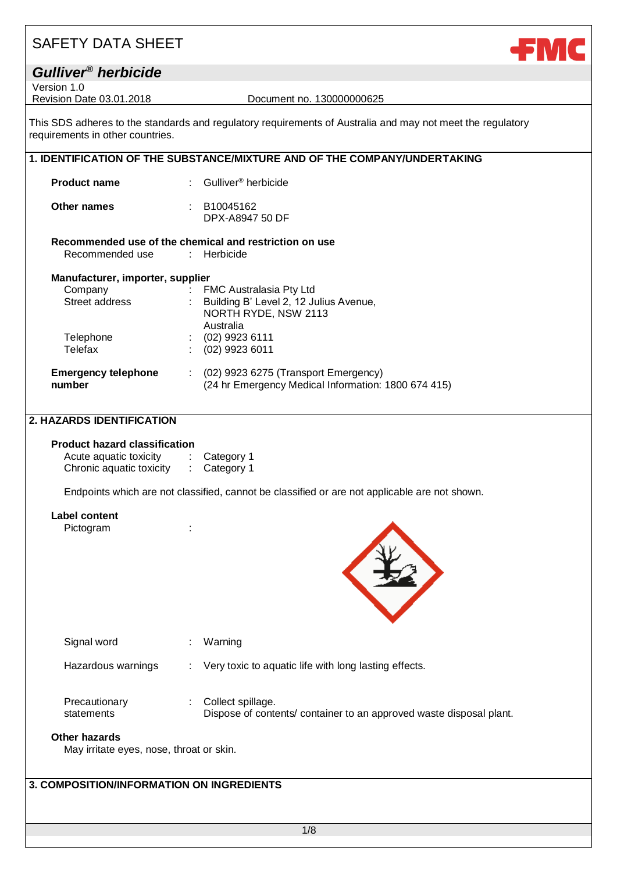| <b>SAFETY DATA SHEET</b>                                                   |                                                                                                                           |
|----------------------------------------------------------------------------|---------------------------------------------------------------------------------------------------------------------------|
| Gulliver <sup>®</sup> herbicide                                            |                                                                                                                           |
| Version 1.0<br>Revision Date 03.01.2018                                    | Document no. 130000000625                                                                                                 |
| requirements in other countries.                                           | This SDS adheres to the standards and regulatory requirements of Australia and may not meet the regulatory                |
|                                                                            | 1. IDENTIFICATION OF THE SUBSTANCE/MIXTURE AND OF THE COMPANY/UNDERTAKING                                                 |
| <b>Product name</b>                                                        | Gulliver <sup>®</sup> herbicide                                                                                           |
| Other names                                                                | B10045162<br>DPX-A8947 50 DF                                                                                              |
|                                                                            | Recommended use of the chemical and restriction on use                                                                    |
| Recommended use                                                            | : Herbicide                                                                                                               |
| Manufacturer, importer, supplier<br>Company<br>Street address<br>Telephone | FMC Australasia Pty Ltd<br>Building B' Level 2, 12 Julius Avenue,<br>NORTH RYDE, NSW 2113<br>Australia<br>(02) 9923 6111  |
| Telefax                                                                    | $(02)$ 9923 6011                                                                                                          |
| <b>Emergency telephone</b><br>number                                       | (02) 9923 6275 (Transport Emergency)<br>$\mathcal{L}^{\text{max}}$<br>(24 hr Emergency Medical Information: 1800 674 415) |
| <b>2. HAZARDS IDENTIFICATION</b>                                           |                                                                                                                           |
| <b>Product hazard classification</b>                                       |                                                                                                                           |
| Acute aquatic toxicity                                                     | Category 1<br>$\mathcal{L}^{\mathcal{L}}$ .                                                                               |
| Chronic aquatic toxicity                                                   | Category 1<br>$\mathcal{L}_{\mathrm{eff}}$                                                                                |
|                                                                            | Endpoints which are not classified, cannot be classified or are not applicable are not shown.                             |

**Label content**

Pictogram :



| Signal word                 | Warning                                                                                   |
|-----------------------------|-------------------------------------------------------------------------------------------|
| Hazardous warnings          | $\therefore$ Very toxic to aquatic life with long lasting effects.                        |
| Precautionary<br>statements | : Collect spillage.<br>Dispose of contents/container to an approved waste disposal plant. |

#### **Other hazards**

May irritate eyes, nose, throat or skin.

### **3. COMPOSITION/INFORMATION ON INGREDIENTS**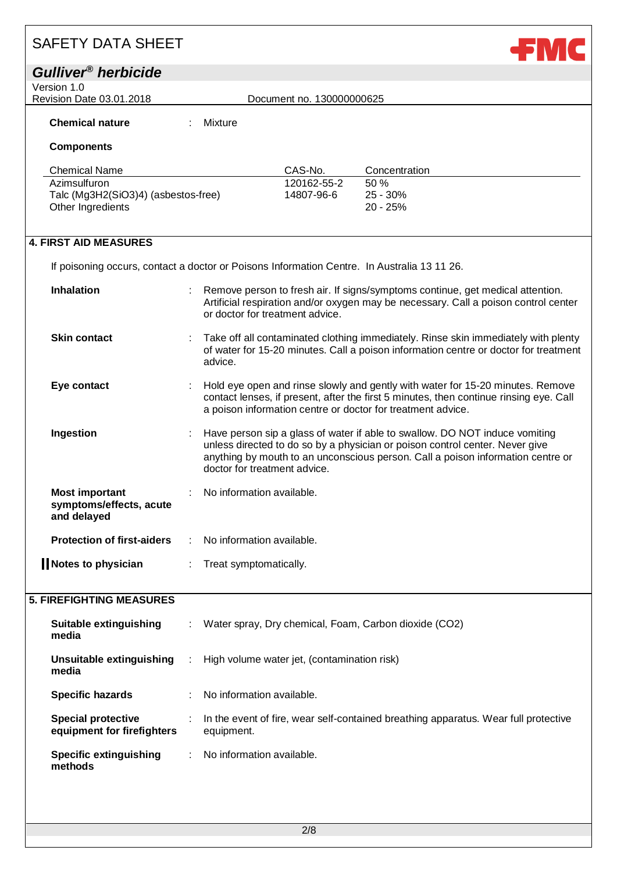| <b>SAFETY DATA SHEET</b>                |         |                                                                                             |                                                                                                                                                                                                                                                |  |
|-----------------------------------------|---------|---------------------------------------------------------------------------------------------|------------------------------------------------------------------------------------------------------------------------------------------------------------------------------------------------------------------------------------------------|--|
| Gulliver <sup>®</sup> herbicide         |         |                                                                                             |                                                                                                                                                                                                                                                |  |
| Version 1.0<br>Revision Date 03.01.2018 |         | Document no. 130000000625                                                                   |                                                                                                                                                                                                                                                |  |
| <b>Chemical nature</b>                  | Mixture |                                                                                             |                                                                                                                                                                                                                                                |  |
| <b>Components</b>                       |         |                                                                                             |                                                                                                                                                                                                                                                |  |
| <b>Chemical Name</b>                    |         | CAS-No.                                                                                     | Concentration                                                                                                                                                                                                                                  |  |
| Azimsulfuron                            |         | 120162-55-2                                                                                 | 50 %                                                                                                                                                                                                                                           |  |
| Talc (Mg3H2(SiO3)4) (asbestos-free)     |         | 14807-96-6                                                                                  | 25 - 30%                                                                                                                                                                                                                                       |  |
| Other Ingredients                       |         |                                                                                             | 20 - 25%                                                                                                                                                                                                                                       |  |
|                                         |         |                                                                                             |                                                                                                                                                                                                                                                |  |
| <b>4. FIRST AID MEASURES</b>            |         |                                                                                             |                                                                                                                                                                                                                                                |  |
|                                         |         |                                                                                             |                                                                                                                                                                                                                                                |  |
|                                         |         | If poisoning occurs, contact a doctor or Poisons Information Centre. In Australia 13 11 26. |                                                                                                                                                                                                                                                |  |
| <b>Inhalation</b>                       |         | or doctor for treatment advice.                                                             | Remove person to fresh air. If signs/symptoms continue, get medical attention.<br>Artificial respiration and/or oxygen may be necessary. Call a poison control center                                                                          |  |
| <b>Skin contact</b>                     | advice. |                                                                                             | Take off all contaminated clothing immediately. Rinse skin immediately with plenty<br>of water for 15-20 minutes. Call a poison information centre or doctor for treatment                                                                     |  |
| Eye contact                             |         |                                                                                             | Hold eye open and rinse slowly and gently with water for 15-20 minutes. Remove<br>contact lenses, if present, after the first 5 minutes, then continue rinsing eye. Call<br>a poison information centre or doctor for treatment advice.        |  |
| Ingestion                               |         | doctor for treatment advice.                                                                | Have person sip a glass of water if able to swallow. DO NOT induce vomiting<br>unless directed to do so by a physician or poison control center. Never give<br>anything by mouth to an unconscious person. Call a poison information centre or |  |

| <b>Most important</b><br>symptoms/effects, acute<br>and delayed | $\sim 100$ | No information available.              |
|-----------------------------------------------------------------|------------|----------------------------------------|
| <b>Protection of first-aiders</b>                               |            | $\therefore$ No information available. |
| Notes to physician                                              |            | : Treat symptomatically.               |

### **5. FIREFIGHTING MEASURES**

| Suitable extinguishing<br>media                         | ÷. | Water spray, Dry chemical, Foam, Carbon dioxide (CO2)                                             |
|---------------------------------------------------------|----|---------------------------------------------------------------------------------------------------|
| Unsuitable extinguishing<br>media                       | ÷  | High volume water jet, (contamination risk)                                                       |
| <b>Specific hazards</b>                                 |    | No information available.                                                                         |
| <b>Special protective</b><br>equipment for firefighters |    | In the event of fire, wear self-contained breathing apparatus. Wear full protective<br>equipment. |
| <b>Specific extinguishing</b><br>methods                |    | No information available.                                                                         |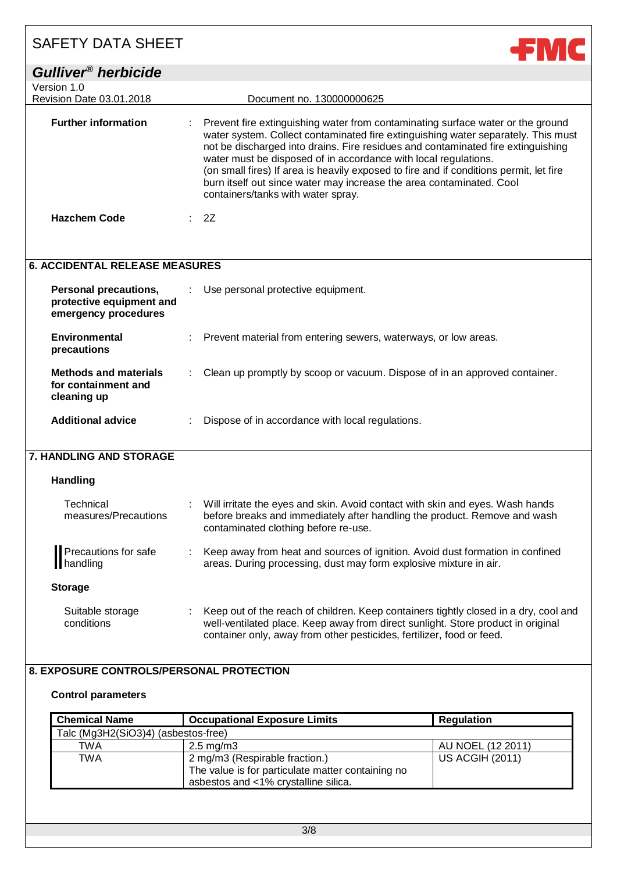| <b>SAFETY DATA SHEET</b>                                                         | ←МС                                                                                                                                                                                                                                                                                                                                                                                                                                                                                                                                 |
|----------------------------------------------------------------------------------|-------------------------------------------------------------------------------------------------------------------------------------------------------------------------------------------------------------------------------------------------------------------------------------------------------------------------------------------------------------------------------------------------------------------------------------------------------------------------------------------------------------------------------------|
| Gulliver <sup>®</sup> herbicide                                                  |                                                                                                                                                                                                                                                                                                                                                                                                                                                                                                                                     |
| Version 1.0<br>Revision Date 03.01.2018                                          | Document no. 130000000625                                                                                                                                                                                                                                                                                                                                                                                                                                                                                                           |
| <b>Further information</b>                                                       | Prevent fire extinguishing water from contaminating surface water or the ground<br>water system. Collect contaminated fire extinguishing water separately. This must<br>not be discharged into drains. Fire residues and contaminated fire extinguishing<br>water must be disposed of in accordance with local regulations.<br>(on small fires) If area is heavily exposed to fire and if conditions permit, let fire<br>burn itself out since water may increase the area contaminated. Cool<br>containers/tanks with water spray. |
| <b>Hazchem Code</b>                                                              | : 2Z                                                                                                                                                                                                                                                                                                                                                                                                                                                                                                                                |
| <b>6. ACCIDENTAL RELEASE MEASURES</b>                                            |                                                                                                                                                                                                                                                                                                                                                                                                                                                                                                                                     |
| <b>Personal precautions,</b><br>protective equipment and<br>emergency procedures | Use personal protective equipment.                                                                                                                                                                                                                                                                                                                                                                                                                                                                                                  |
| <b>Environmental</b><br>precautions                                              | Prevent material from entering sewers, waterways, or low areas.                                                                                                                                                                                                                                                                                                                                                                                                                                                                     |
| <b>Methods and materials</b><br>for containment and<br>cleaning up               | Clean up promptly by scoop or vacuum. Dispose of in an approved container.                                                                                                                                                                                                                                                                                                                                                                                                                                                          |
| <b>Additional advice</b>                                                         | Dispose of in accordance with local regulations.                                                                                                                                                                                                                                                                                                                                                                                                                                                                                    |
| <b>7. HANDLING AND STORAGE</b>                                                   |                                                                                                                                                                                                                                                                                                                                                                                                                                                                                                                                     |
| <b>Handling</b>                                                                  |                                                                                                                                                                                                                                                                                                                                                                                                                                                                                                                                     |
| Technical<br>measures/Precautions                                                | Will irritate the eyes and skin. Avoid contact with skin and eyes. Wash hands<br>before breaks and immediately after handling the product. Remove and wash<br>contaminated clothing before re-use.                                                                                                                                                                                                                                                                                                                                  |
| Precautions for safe<br>handling                                                 | Keep away from heat and sources of ignition. Avoid dust formation in confined<br>areas. During processing, dust may form explosive mixture in air.                                                                                                                                                                                                                                                                                                                                                                                  |
| <b>Storage</b>                                                                   |                                                                                                                                                                                                                                                                                                                                                                                                                                                                                                                                     |

#### Suitable storage conditions : Keep out of the reach of children. Keep containers tightly closed in a dry, cool and well-ventilated place. Keep away from direct sunlight. Store product in original container only, away from other pesticides, fertilizer, food or feed.

### **8. EXPOSURE CONTROLS/PERSONAL PROTECTION**

#### **Control parameters**

| <b>Chemical Name</b>                | <b>Occupational Exposure Limits</b>                                                                                         | <b>Regulation</b>      |
|-------------------------------------|-----------------------------------------------------------------------------------------------------------------------------|------------------------|
| Talc (Mg3H2(SiO3)4) (asbestos-free) |                                                                                                                             |                        |
| TWA                                 | $2.5 \text{ mg/m}$ 3                                                                                                        | AU NOEL (12 2011)      |
| TWA                                 | 2 mg/m3 (Respirable fraction.)<br>The value is for particulate matter containing no<br>asbestos and <1% crystalline silica. | <b>US ACGIH (2011)</b> |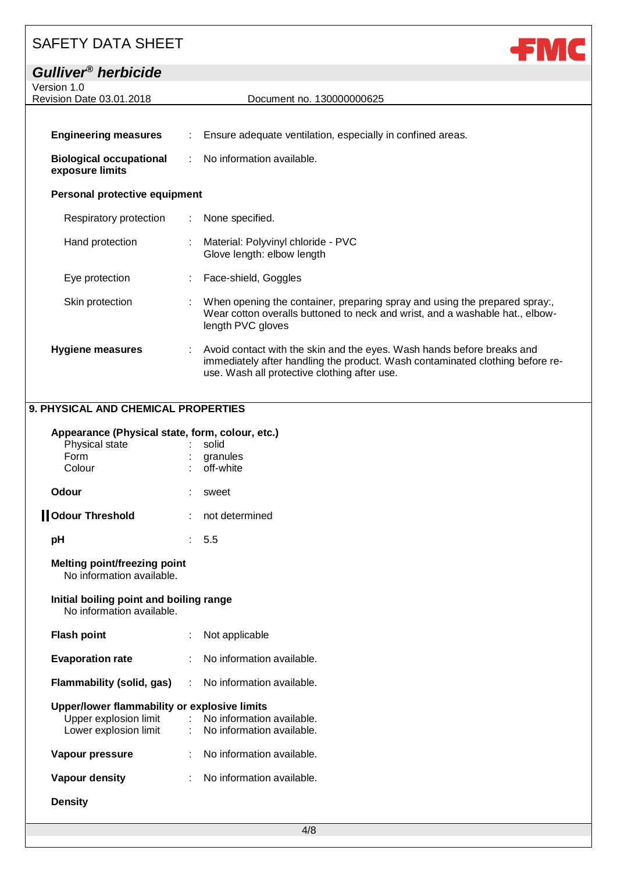| <b>SAFETY DATA SHEET</b>                          |                                                                                                                                                                                                         |
|---------------------------------------------------|---------------------------------------------------------------------------------------------------------------------------------------------------------------------------------------------------------|
| Gulliver <sup>®</sup> herbicide                   |                                                                                                                                                                                                         |
| Version 1.0<br>Revision Date 03.01.2018           | Document no. 130000000625                                                                                                                                                                               |
|                                                   |                                                                                                                                                                                                         |
| <b>Engineering measures</b>                       | Ensure adequate ventilation, especially in confined areas.                                                                                                                                              |
| <b>Biological occupational</b><br>exposure limits | No information available.                                                                                                                                                                               |
| Personal protective equipment                     |                                                                                                                                                                                                         |
| Respiratory protection                            | None specified.                                                                                                                                                                                         |
| Hand protection                                   | Material: Polyvinyl chloride - PVC<br>Glove length: elbow length                                                                                                                                        |
| Eye protection                                    | Face-shield, Goggles                                                                                                                                                                                    |
| Skin protection                                   | When opening the container, preparing spray and using the prepared spray:,<br>Wear cotton overalls buttoned to neck and wrist, and a washable hat., elbow-<br>length PVC gloves                         |
| <b>Hygiene measures</b>                           | Avoid contact with the skin and the eyes. Wash hands before breaks and<br>immediately after handling the product. Wash contaminated clothing before re-<br>use. Wash all protective clothing after use. |

### **9. PHYSICAL AND CHEMICAL PROPERTIES**

### **Appearance (Physical state, form, colour, etc.)**

| Physical state<br>Form<br>Colour                                     |    | solid<br>granules<br>off-white                    |
|----------------------------------------------------------------------|----|---------------------------------------------------|
| Odour                                                                |    | : sweet                                           |
| <b>Odour Threshold</b>                                               |    | not determined                                    |
| рH                                                                   |    | : 5.5                                             |
| Melting point/freezing point<br>No information available.            |    |                                                   |
| Initial boiling point and boiling range<br>No information available. |    |                                                   |
| <b>Flash point</b>                                                   |    | Not applicable                                    |
| <b>Evaporation rate</b>                                              |    | No information available.                         |
| Flammability (solid, gas) : No information available.                |    |                                                   |
| Upper/lower flammability or explosive limits                         |    |                                                   |
|                                                                      |    | Upper explosion limit : No information available. |
|                                                                      |    | Lower explosion limit : No information available. |
| Vapour pressure                                                      | t. | No information available.                         |
| Vapour density                                                       |    | No information available.                         |
| <b>Density</b>                                                       |    |                                                   |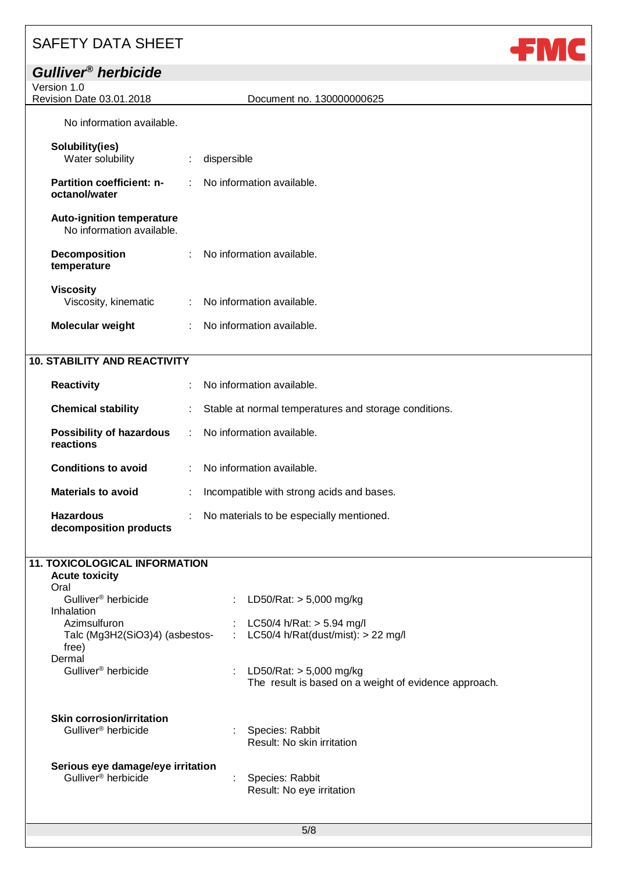**decomposition products**

| Gulliver <sup>®</sup> herbicide                               |                               |                                                       |
|---------------------------------------------------------------|-------------------------------|-------------------------------------------------------|
| Version 1.0                                                   |                               |                                                       |
| Revision Date 03.01.2018                                      |                               | Document no. 130000000625                             |
| No information available.                                     |                               |                                                       |
| Solubility(ies)                                               |                               |                                                       |
| Water solubility                                              | $\ddot{\Sigma}$               | dispersible                                           |
| <b>Partition coefficient: n-</b><br>octanol/water             |                               | No information available.                             |
| <b>Auto-ignition temperature</b><br>No information available. |                               |                                                       |
| <b>Decomposition</b><br>temperature                           | ÷                             | No information available.                             |
| <b>Viscosity</b><br>Viscosity, kinematic                      | $\mathbb{C}^{\times}$         | No information available.                             |
| Molecular weight                                              | $\mathcal{L}^{\mathcal{L}}$ . | No information available.                             |
|                                                               |                               |                                                       |
| <b>10. STABILITY AND REACTIVITY</b>                           |                               |                                                       |
| <b>Reactivity</b>                                             |                               | No information available.                             |
| <b>Chemical stability</b>                                     |                               | Stable at normal temperatures and storage conditions. |
| <b>Possibility of hazardous</b><br>reactions                  | $\mathcal{L}^{\mathcal{L}}$   | No information available.                             |
| <b>Conditions to avoid</b>                                    |                               | No information available.                             |

JE M

| <b>Materials to avoid</b> | : Incompatible with strong acids and bases. |
|---------------------------|---------------------------------------------|
| <b>Hazardous</b>          | : No materials to be especially mentioned.  |

| <b>11. TOXICOLOGICAL INFORMATION</b>    |   |                                                       |
|-----------------------------------------|---|-------------------------------------------------------|
| <b>Acute toxicity</b>                   |   |                                                       |
| Oral<br>Gulliver <sup>®</sup> herbicide |   |                                                       |
| Inhalation                              |   | LD50/Rat: $> 5,000$ mg/kg                             |
| Azimsulfuron                            |   | LC50/4 h/Rat: $>$ 5.94 mg/l                           |
| Talc (Mg3H2(SiO3)4) (asbestos-          | ÷ | LC50/4 h/Rat(dust/mist): $> 22$ mg/l                  |
| free)                                   |   |                                                       |
| Dermal                                  |   |                                                       |
| Gulliver <sup>®</sup> herbicide         |   | LD50/Rat: $>$ 5,000 mg/kg                             |
|                                         |   | The result is based on a weight of evidence approach. |
|                                         |   |                                                       |
|                                         |   |                                                       |
| <b>Skin corrosion/irritation</b>        |   |                                                       |
| Gulliver <sup>®</sup> herbicide         |   | Species: Rabbit                                       |
|                                         |   | Result: No skin irritation                            |
|                                         |   |                                                       |
| Serious eye damage/eye irritation       |   |                                                       |
| Gulliver <sup>®</sup> herbicide         |   | Species: Rabbit                                       |
|                                         |   | Result: No eye irritation                             |
|                                         |   |                                                       |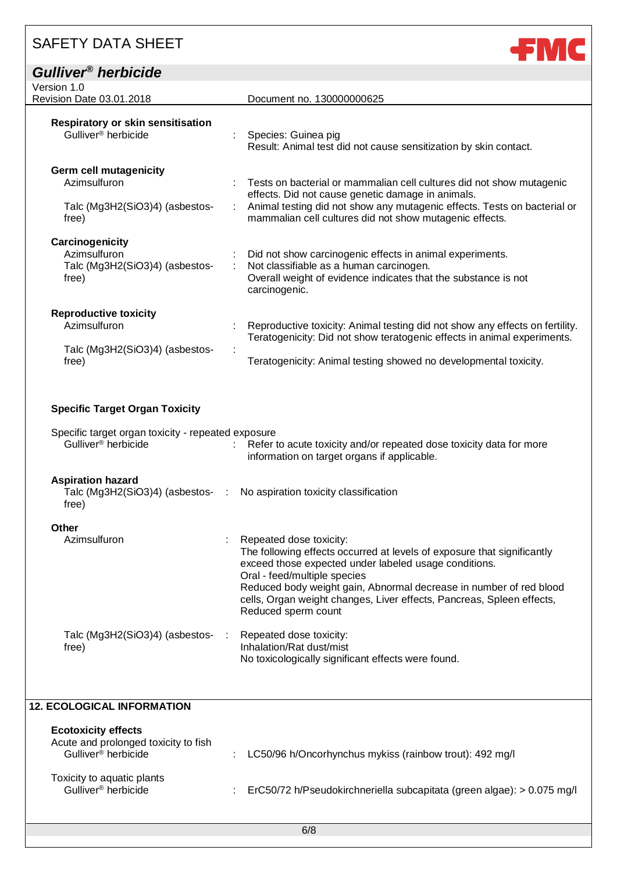# *Gulliver® herbicide*

**FMC** 

| Version 1.0<br>Revision Date 03.01.2018                                                  | Document no. 130000000625                                                                                                                                                                                                                                             |
|------------------------------------------------------------------------------------------|-----------------------------------------------------------------------------------------------------------------------------------------------------------------------------------------------------------------------------------------------------------------------|
| <b>Respiratory or skin sensitisation</b><br>Gulliver <sup>®</sup> herbicide              | Species: Guinea pig<br>Result: Animal test did not cause sensitization by skin contact.                                                                                                                                                                               |
| <b>Germ cell mutagenicity</b><br>Azimsulfuron<br>Talc (Mg3H2(SiO3)4) (asbestos-<br>free) | Tests on bacterial or mammalian cell cultures did not show mutagenic<br>effects. Did not cause genetic damage in animals.<br>Animal testing did not show any mutagenic effects. Tests on bacterial or<br>÷<br>mammalian cell cultures did not show mutagenic effects. |
| Carcinogenicity<br>Azimsulfuron<br>Talc (Mg3H2(SiO3)4) (asbestos-<br>free)               | Did not show carcinogenic effects in animal experiments.<br>Not classifiable as a human carcinogen.<br>Overall weight of evidence indicates that the substance is not<br>carcinogenic.                                                                                |
| <b>Reproductive toxicity</b><br>Azimsulfuron<br>Talc (Mg3H2(SiO3)4) (asbestos-<br>free)  | Reproductive toxicity: Animal testing did not show any effects on fertility.<br>Teratogenicity: Did not show teratogenic effects in animal experiments.<br>Teratogenicity: Animal testing showed no developmental toxicity.                                           |

### **Specific Target Organ Toxicity**

| Specific target organ toxicity - repeated exposure<br>Gulliver <sup>®</sup> herbicide |     | : Refer to acute toxicity and/or repeated dose toxicity data for more<br>information on target organs if applicable.                                                                                                                                                                                                                                              |
|---------------------------------------------------------------------------------------|-----|-------------------------------------------------------------------------------------------------------------------------------------------------------------------------------------------------------------------------------------------------------------------------------------------------------------------------------------------------------------------|
| <b>Aspiration hazard</b><br>free)                                                     |     | Talc (Mg3H2(SiO3)4) (asbestos- : No aspiration toxicity classification                                                                                                                                                                                                                                                                                            |
| Other<br>Azimsulfuron                                                                 |     | Repeated dose toxicity:<br>The following effects occurred at levels of exposure that significantly<br>exceed those expected under labeled usage conditions.<br>Oral - feed/multiple species<br>Reduced body weight gain, Abnormal decrease in number of red blood<br>cells, Organ weight changes, Liver effects, Pancreas, Spleen effects,<br>Reduced sperm count |
| Talc (Mg3H2(SiO3)4) (asbestos-<br>free)                                               | -11 | Repeated dose toxicity:<br>Inhalation/Rat dust/mist<br>No toxicologically significant effects were found.                                                                                                                                                                                                                                                         |

### **12. ECOLOGICAL INFORMATION**

| <b>Ecotoxicity effects</b><br>Acute and prolonged toxicity to fish<br>Gulliver <sup>®</sup> herbicide | : LC50/96 h/Oncorhynchus mykiss (rainbow trout): 492 mg/l             |
|-------------------------------------------------------------------------------------------------------|-----------------------------------------------------------------------|
| Toxicity to aquatic plants<br>Gulliver <sup>®</sup> herbicide                                         | ErC50/72 h/Pseudokirchneriella subcapitata (green algae): > 0.075 mg/ |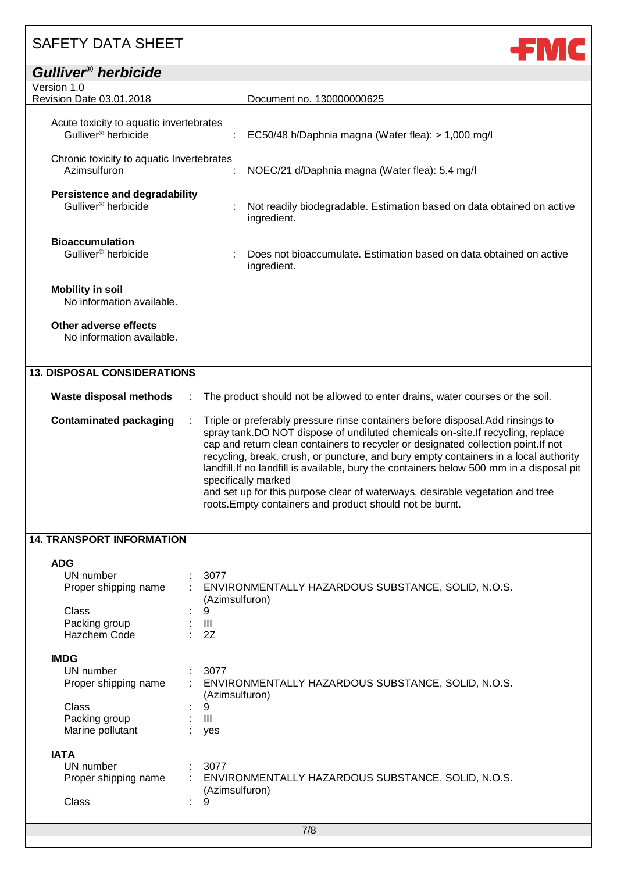| <b>SAFETY DATA SHEET</b>                                                   |                                                                                                                                                                                                                                                                                                                                                                                                                                                                                                                                                      |
|----------------------------------------------------------------------------|------------------------------------------------------------------------------------------------------------------------------------------------------------------------------------------------------------------------------------------------------------------------------------------------------------------------------------------------------------------------------------------------------------------------------------------------------------------------------------------------------------------------------------------------------|
| Gulliver <sup>®</sup> herbicide                                            |                                                                                                                                                                                                                                                                                                                                                                                                                                                                                                                                                      |
| Version 1.0                                                                |                                                                                                                                                                                                                                                                                                                                                                                                                                                                                                                                                      |
| Revision Date 03.01.2018                                                   | Document no. 130000000625                                                                                                                                                                                                                                                                                                                                                                                                                                                                                                                            |
| Acute toxicity to aquatic invertebrates<br>Gulliver <sup>®</sup> herbicide | EC50/48 h/Daphnia magna (Water flea): > 1,000 mg/l                                                                                                                                                                                                                                                                                                                                                                                                                                                                                                   |
| Chronic toxicity to aquatic Invertebrates<br>Azimsulfuron                  | NOEC/21 d/Daphnia magna (Water flea): 5.4 mg/l                                                                                                                                                                                                                                                                                                                                                                                                                                                                                                       |
| <b>Persistence and degradability</b><br>Gulliver <sup>®</sup> herbicide    | Not readily biodegradable. Estimation based on data obtained on active<br>ingredient.                                                                                                                                                                                                                                                                                                                                                                                                                                                                |
| <b>Bioaccumulation</b><br>Gulliver <sup>®</sup> herbicide                  | Does not bioaccumulate. Estimation based on data obtained on active<br>ingredient.                                                                                                                                                                                                                                                                                                                                                                                                                                                                   |
| <b>Mobility in soil</b><br>No information available.                       |                                                                                                                                                                                                                                                                                                                                                                                                                                                                                                                                                      |
| Other adverse effects<br>No information available.                         |                                                                                                                                                                                                                                                                                                                                                                                                                                                                                                                                                      |
| <b>13. DISPOSAL CONSIDERATIONS</b>                                         |                                                                                                                                                                                                                                                                                                                                                                                                                                                                                                                                                      |
|                                                                            |                                                                                                                                                                                                                                                                                                                                                                                                                                                                                                                                                      |
| Waste disposal methods                                                     | The product should not be allowed to enter drains, water courses or the soil.                                                                                                                                                                                                                                                                                                                                                                                                                                                                        |
| <b>Contaminated packaging</b>                                              | Triple or preferably pressure rinse containers before disposal. Add rinsings to<br>spray tank.DO NOT dispose of undiluted chemicals on-site.If recycling, replace<br>cap and return clean containers to recycler or designated collection point. If not<br>recycling, break, crush, or puncture, and bury empty containers in a local authority<br>landfill. If no landfill is available, bury the containers below 500 mm in a disposal pit<br>specifically marked<br>and set up for this purpose clear of waterways, desirable vegetation and tree |

roots.Empty containers and product should not be burnt.

### **14. TRANSPORT INFORMATION**

| <b>ADG</b>           |   |                                                                      |
|----------------------|---|----------------------------------------------------------------------|
| UN number            |   | 3077                                                                 |
| Proper shipping name |   | ENVIRONMENTALLY HAZARDOUS SUBSTANCE, SOLID, N.O.S.<br>(Azimsulfuron) |
| Class                | ÷ | 9                                                                    |
| Packing group        |   | Ш                                                                    |
| Hazchem Code         |   | 2Z                                                                   |
| <b>IMDG</b>          |   |                                                                      |
| UN number            |   | 3077                                                                 |
| Proper shipping name | ÷ | ENVIRONMENTALLY HAZARDOUS SUBSTANCE, SOLID, N.O.S.<br>(Azimsulfuron) |
| Class                | ٠ | 9                                                                    |
| Packing group        |   | Ш                                                                    |
| Marine pollutant     |   | yes                                                                  |
| <b>IATA</b>          |   |                                                                      |
| UN number            |   | 3077                                                                 |
| Proper shipping name | ÷ | ENVIRONMENTALLY HAZARDOUS SUBSTANCE, SOLID, N.O.S.<br>(Azimsulfuron) |
| Class                | ٠ | 9                                                                    |
|                      |   |                                                                      |